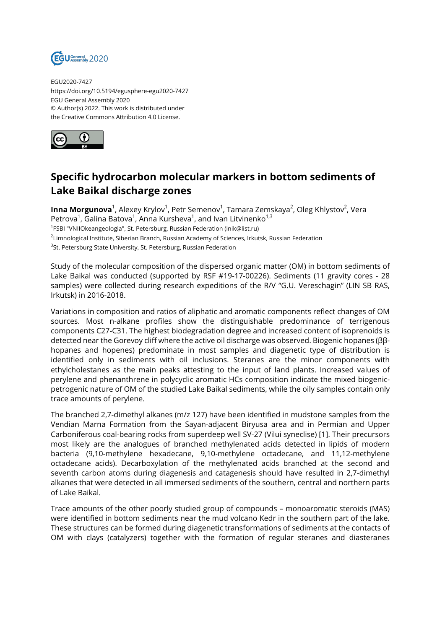

EGU2020-7427 https://doi.org/10.5194/egusphere-egu2020-7427 EGU General Assembly 2020 © Author(s) 2022. This work is distributed under the Creative Commons Attribution 4.0 License.



## **Specific hydrocarbon molecular markers in bottom sediments of Lake Baikal discharge zones**

**Inna Morgunova**<sup>1</sup>, Alexey Krylov<sup>1</sup>, Petr Semenov<sup>1</sup>, Tamara Zemskaya<sup>2</sup>, Oleg Khlystov<sup>2</sup>, Vera Petrova $^1$ , Galina Batova $^1$ , Anna Kursheva $^1$ , and Ivan Litvinenko $^{1,3}$ <sup>1</sup>FSBI "VNIIOkeangeologia", St. Petersburg, Russian Federation (inik@list.ru)  $^2$ Limnological Institute, Siberian Branch, Russian Academy of Sciences, Irkutsk, Russian Federation <sup>3</sup>St. Petersburg State University, St. Petersburg, Russian Federation

Study of the molecular composition of the dispersed organic matter (OM) in bottom sediments of Lake Baikal was conducted (supported by RSF #19-17-00226). Sediments (11 gravity cores - 28 samples) were collected during research expeditions of the R/V "G.U. Vereschagin" (LIN SB RAS, Irkutsk) in 2016-2018.

Variations in composition and ratios of aliphatic and aromatic components reflect changes of OM sources. Most n-alkane profiles show the distinguishable predominance of terrigenous components C27-C31. The highest biodegradation degree and increased content of isoprenoids is detected near the Gorevoy cliff where the active oil discharge was observed. Biogenic hopanes (ββhopanes and hopenes) predominate in most samples and diagenetic type of distribution is identified only in sediments with oil inclusions. Steranes are the minor components with ethylcholestanes as the main peaks attesting to the input of land plants. Increased values of perylene and phenanthrene in polycyclic aromatic HCs composition indicate the mixed biogenicpetrogenic nature of OM of the studied Lake Baikal sediments, while the oily samples contain only trace amounts of perylene.

The branched 2,7-dimethyl alkanes (m/z 127) have been identified in mudstone samples from the Vendian Marna Formation from the Sayan-adjacent Biryusa area and in Permian and Upper Carboniferous coal-bearing rocks from superdeep well SV-27 (Vilui syneclise) [1]. Their precursors most likely are the analogues of branched methylenated acids detected in lipids of modern bacteria (9,10-methylene hexadecane, 9,10-methylene octadecane, and 11,12-methylene octadecane acids). Decarboxylation of the methylenated acids branched at the second and seventh carbon atoms during diagenesis and catagenesis should have resulted in 2,7-dimethyl alkanes that were detected in all immersed sediments of the southern, central and northern parts of Lake Baikal.

Trace amounts of the other poorly studied group of compounds – monoaromatic steroids (MAS) were identified in bottom sediments near the mud volcano Kedr in the southern part of the lake. These structures can be formed during diagenetic transformations of sediments at the contacts of OM with clays (catalyzers) together with the formation of regular steranes and diasteranes